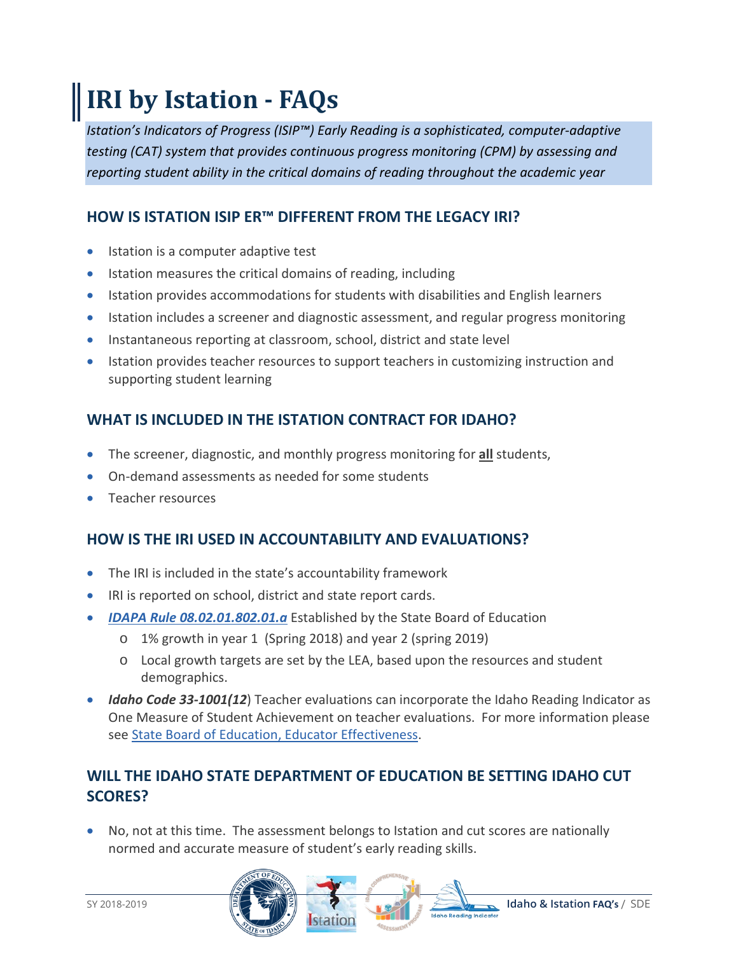# **IRI by Istation - FAQs**

*Istation's Indicators of Progress (ISIP™) Early Reading is a sophisticated, computer-adaptive testing (CAT) system that provides continuous progress monitoring (CPM) by assessing and reporting student ability in the critical domains of reading throughout the academic year*

### **HOW IS ISTATION ISIP ER™ DIFFERENT FROM THE LEGACY IRI?**

- Istation is a computer adaptive test
- Istation measures the critical domains of reading, including
- Istation provides accommodations for students with disabilities and English learners
- Istation includes a screener and diagnostic assessment, and regular progress monitoring
- Instantaneous reporting at classroom, school, district and state level
- Istation provides teacher resources to support teachers in customizing instruction and supporting student learning

# **WHAT IS INCLUDED IN THE ISTATION CONTRACT FOR IDAHO?**

- The screener, diagnostic, and monthly progress monitoring for **all** students,
- On-demand assessments as needed for some students
- Teacher resources

# **HOW IS THE IRI USED IN ACCOUNTABILITY AND EVALUATIONS?**

- The IRI is included in the state's accountability framework
- IRI is reported on school, district and state report cards.
- *[IDAPA Rule 08.02.01.802.01.a](https://adminrules.idaho.gov/rules/current/08/080201.pdf)* Established by the State Board of Education
	- o 1% growth in year 1 (Spring 2018) and year 2 (spring 2019)
	- o Local growth targets are set by the LEA, based upon the resources and student demographics.
- *Idaho Code 33-1001(12*) Teacher evaluations can incorporate the Idaho Reading Indicator as One Measure of Student Achievement on teacher evaluations. For more information please see [State Board of Education, Educator Effectiveness.](https://boardofed.idaho.gov/resources/evaluation-review-checklist/)

# **WILL THE IDAHO STATE DEPARTMENT OF EDUCATION BE SETTING IDAHO CUT SCORES?**

• No, not at this time. The assessment belongs to Istation and cut scores are nationally normed and accurate measure of student's early reading skills.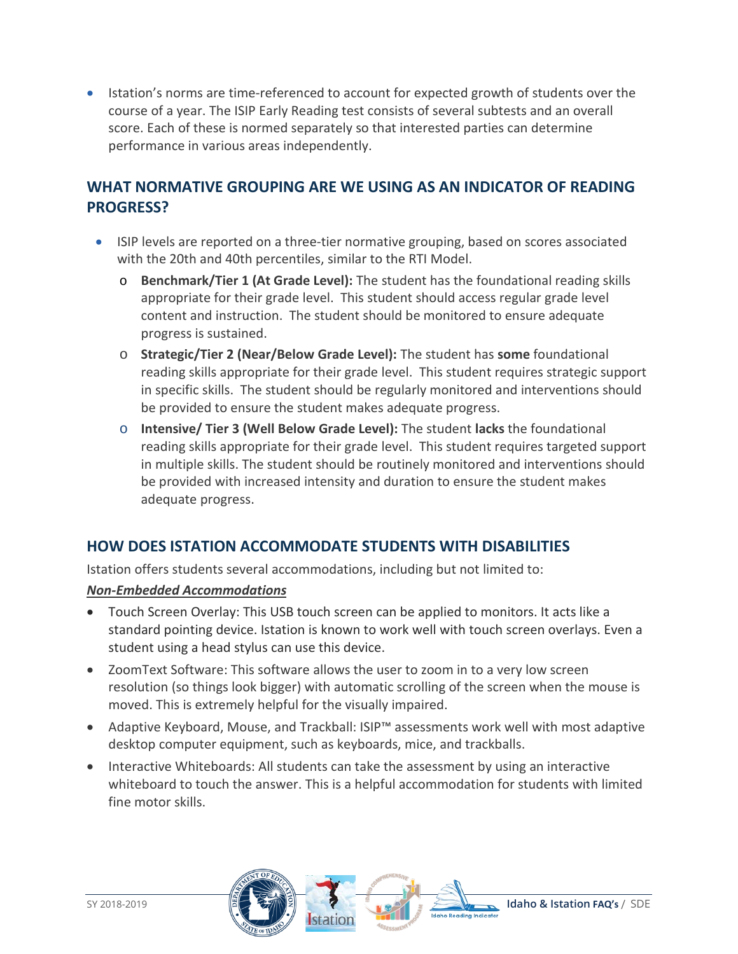• Istation's norms are time-referenced to account for expected growth of students over the course of a year. The ISIP Early Reading test consists of several subtests and an overall score. Each of these is normed separately so that interested parties can determine performance in various areas independently.

### **WHAT NORMATIVE GROUPING ARE WE USING AS AN INDICATOR OF READING PROGRESS?**

- ISIP levels are reported on a three-tier normative grouping, based on scores associated with the 20th and 40th percentiles, similar to the RTI Model.
	- o **Benchmark/Tier 1 (At Grade Level):** The student has the foundational reading skills appropriate for their grade level. This student should access regular grade level content and instruction. The student should be monitored to ensure adequate progress is sustained.
	- o **Strategic/Tier 2 (Near/Below Grade Level):** The student has **some** foundational reading skills appropriate for their grade level. This student requires strategic support in specific skills. The student should be regularly monitored and interventions should be provided to ensure the student makes adequate progress.
	- o **Intensive/ Tier 3 (Well Below Grade Level):** The student **lacks** the foundational reading skills appropriate for their grade level. This student requires targeted support in multiple skills. The student should be routinely monitored and interventions should be provided with increased intensity and duration to ensure the student makes adequate progress.

#### **HOW DOES ISTATION ACCOMMODATE STUDENTS WITH DISABILITIES**

Istation offers students several accommodations, including but not limited to:

#### *Non-Embedded Accommodations*

- Touch Screen Overlay: This USB touch screen can be applied to monitors. It acts like a standard pointing device. Istation is known to work well with touch screen overlays. Even a student using a head stylus can use this device.
- ZoomText Software: This software allows the user to zoom in to a very low screen resolution (so things look bigger) with automatic scrolling of the screen when the mouse is moved. This is extremely helpful for the visually impaired.
- Adaptive Keyboard, Mouse, and Trackball: ISIP™ assessments work well with most adaptive desktop computer equipment, such as keyboards, mice, and trackballs.
- Interactive Whiteboards: All students can take the assessment by using an interactive whiteboard to touch the answer. This is a helpful accommodation for students with limited fine motor skills.

station